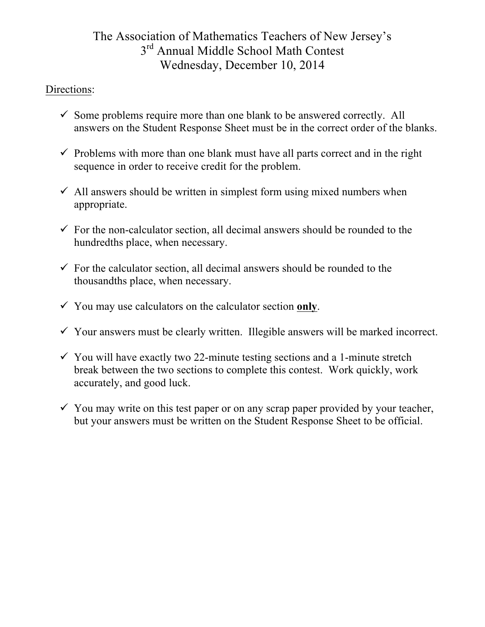# The Association of Mathematics Teachers of New Jersey's  $3<sup>rd</sup>$  Annual Middle School Math Contest Wednesday, December 10, 2014

## Directions:

- $\checkmark$  Some problems require more than one blank to be answered correctly. All answers on the Student Response Sheet must be in the correct order of the blanks.
- $\checkmark$  Problems with more than one blank must have all parts correct and in the right sequence in order to receive credit for the problem.
- $\checkmark$  All answers should be written in simplest form using mixed numbers when appropriate.
- $\checkmark$  For the non-calculator section, all decimal answers should be rounded to the hundredths place, when necessary.
- $\checkmark$  For the calculator section, all decimal answers should be rounded to the thousandths place, when necessary.
- $\checkmark$  You may use calculators on the calculator section only.
- $\checkmark$  Your answers must be clearly written. Illegible answers will be marked incorrect.
- $\checkmark$  You will have exactly two 22-minute testing sections and a 1-minute stretch break between the two sections to complete this contest. Work quickly, work accurately, and good luck.
- $\checkmark$  You may write on this test paper or on any scrap paper provided by your teacher, but your answers must be written on the Student Response Sheet to be official.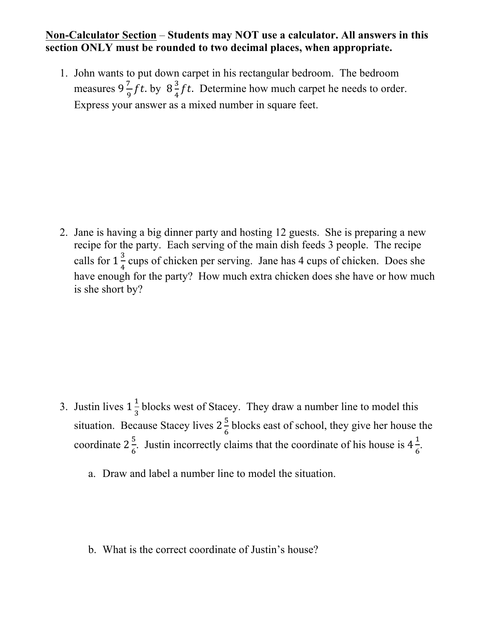### **Non-Calculator Section** – **Students may NOT use a calculator. All answers in this section ONLY must be rounded to two decimal places, when appropriate.**

1. John wants to put down carpet in his rectangular bedroom. The bedroom measures  $9\frac{7}{9}$  ft. by  $8\frac{3}{4}$  ft. Determine how much carpet he needs to order. Express your answer as a mixed number in square feet.

2. Jane is having a big dinner party and hosting 12 guests. She is preparing a new recipe for the party. Each serving of the main dish feeds 3 people. The recipe calls for  $1\frac{3}{4}$  cups of chicken per serving. Jane has 4 cups of chicken. Does she have enough for the party? How much extra chicken does she have or how much is she short by?

- 3. Justin lives  $1\frac{1}{3}$  blocks west of Stacey. They draw a number line to model this situation. Because Stacey lives  $2\frac{5}{6}$  blocks east of school, they give her house the coordinate  $2\frac{5}{6}$ . Justin incorrectly claims that the coordinate of his house is  $4\frac{1}{6}$ .
	- a. Draw and label a number line to model the situation.

b. What is the correct coordinate of Justin's house?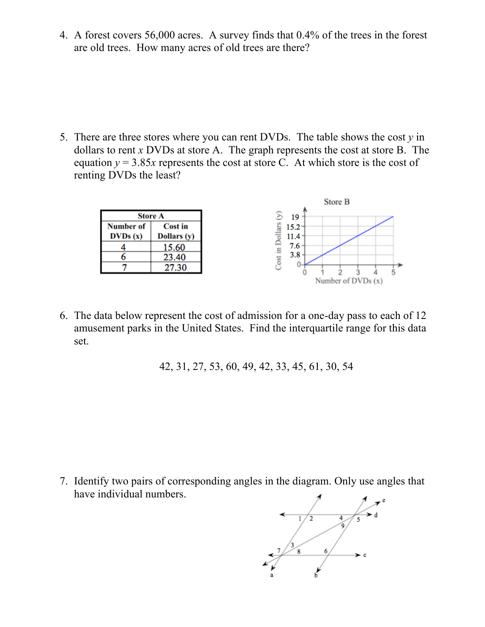4. A forest covers 56,000 acres. A survey finds that 0.4% of the trees in the forest are old trees. How many acres of old trees are there?

5. There are three stores where you can rent DVDs. The table shows the cost  $\gamma$  in dollars to rent *x* DVDs at store A. The graph represents the cost at store B. The equation  $y = 3.85x$  represents the cost at store C. At which store is the cost of renting DVDs the least?



6. The data below represent the cost of admission for a one-day pass to each of 12 amusement parks in the United States. Find the interquartile range for this data set.

42, 31, 27, 53, 60, 49, 42, 33, 45, 61, 30, 54

7. Identify two pairs of corresponding angles in the diagram. Only use angles that have individual numbers.

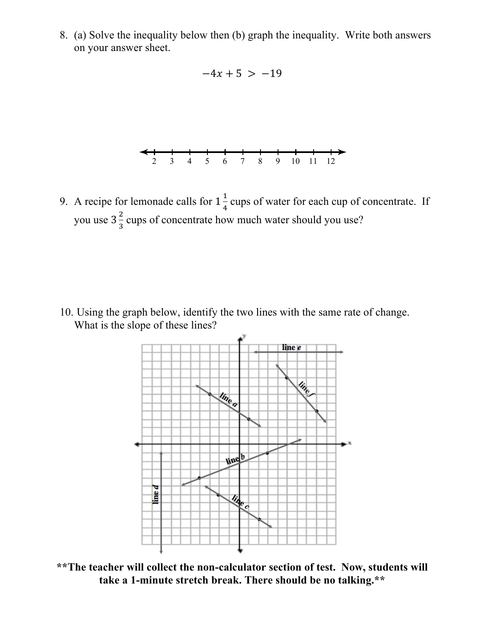8. (a) Solve the inequality below then (b) graph the inequality. Write both answers on your answer sheet.



9. A recipe for lemonade calls for  $1\frac{1}{4}$  cups of water for each cup of concentrate. If you use  $3\frac{2}{3}$  cups of concentrate how much water should you use?

10. Using the graph below, identify the two lines with the same rate of change. What is the slope of these lines?



**\*\*The teacher will collect the non-calculator section of test. Now, students will take a 1-minute stretch break. There should be no talking.\*\***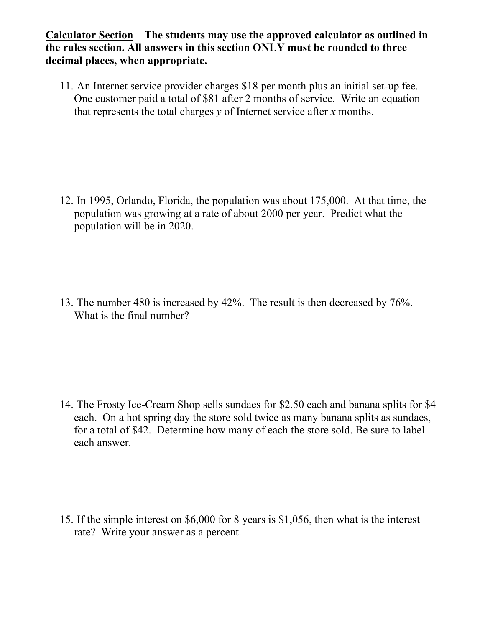### **Calculator Section – The students may use the approved calculator as outlined in the rules section. All answers in this section ONLY must be rounded to three decimal places, when appropriate.**

11. An Internet service provider charges \$18 per month plus an initial set-up fee. One customer paid a total of \$81 after 2 months of service. Write an equation that represents the total charges  $\gamma$  of Internet service after  $\chi$  months.

12. In 1995, Orlando, Florida, the population was about 175,000. At that time, the population was growing at a rate of about 2000 per year. Predict what the population will be in 2020.

13. The number 480 is increased by 42%. The result is then decreased by 76%. What is the final number?

14. The Frosty Ice-Cream Shop sells sundaes for \$2.50 each and banana splits for \$4 each. On a hot spring day the store sold twice as many banana splits as sundaes, for a total of \$42. Determine how many of each the store sold. Be sure to label each answer.

15. If the simple interest on \$6,000 for 8 years is \$1,056, then what is the interest rate? Write your answer as a percent.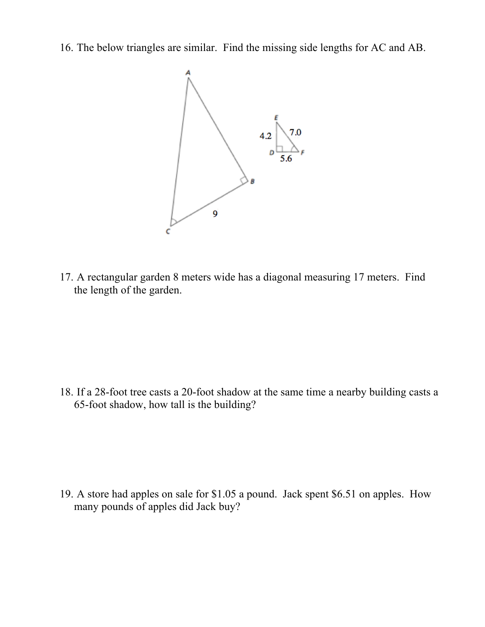16. The below triangles are similar. Find the missing side lengths for AC and AB.



17. A rectangular garden 8 meters wide has a diagonal measuring 17 meters. Find the length of the garden.

18. If a 28-foot tree casts a 20-foot shadow at the same time a nearby building casts a 65-foot shadow, how tall is the building?

19. A store had apples on sale for \$1.05 a pound. Jack spent \$6.51 on apples. How many pounds of apples did Jack buy?